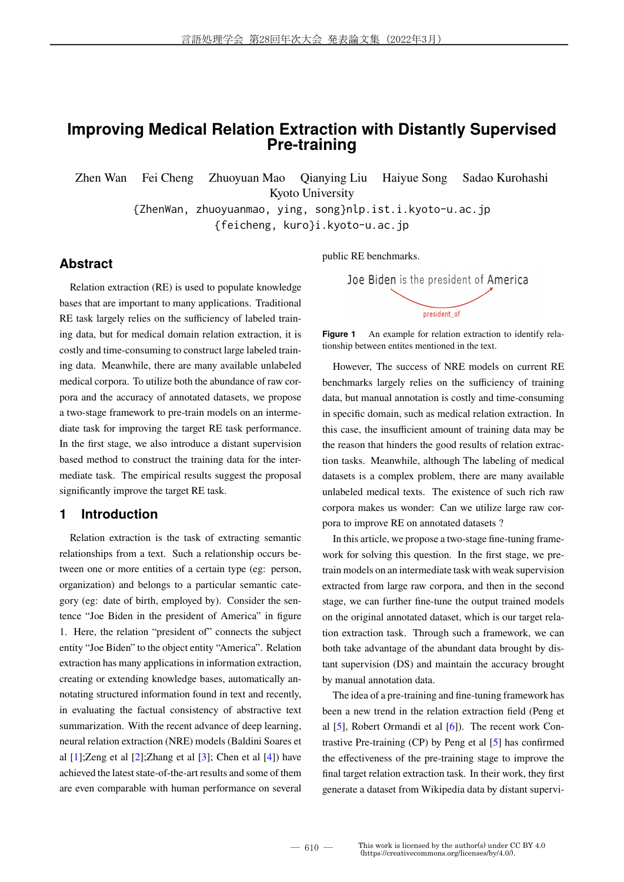# **Improving Medical Relation Extraction with Distantly Supervised Pre-training**

Zhen Wan Fei Cheng Zhuoyuan Mao Qianying Liu Haiyue Song Sadao Kurohashi

Kyoto University

{ZhenWan, zhuoyuanmao, ying, song}nlp.ist.i.kyoto-u.ac.jp

{feicheng, kuro}i.kyoto-u.ac.jp

# **Abstract**

Relation extraction (RE) is used to populate knowledge bases that are important to many applications. Traditional RE task largely relies on the sufficiency of labeled training data, but for medical domain relation extraction, it is costly and time-consuming to construct large labeled training data. Meanwhile, there are many available unlabeled medical corpora. To utilize both the abundance of raw corpora and the accuracy of annotated datasets, we propose a two-stage framework to pre-train models on an intermediate task for improving the target RE task performance. In the first stage, we also introduce a distant supervision based method to construct the training data for the intermediate task. The empirical results suggest the proposal significantly improve the target RE task.

### **1 Introduction**

Relation extraction is the task of extracting semantic relationships from a text. Such a relationship occurs between one or more entities of a certain type (eg: person, organization) and belongs to a particular semantic category (eg: date of birth, employed by). Consider the sentence "Joe Biden in the president of America" in figure 1. Here, the relation "president of" connects the subject entity "Joe Biden" to the object entity "America". Relation extraction has many applications in information extraction, creating or extending knowledge bases, automatically annotating structured information found in text and recently, in evaluating the factual consistency of abstractive text summarization. With the recent advance of deep learning, neural relation extraction (NRE) models (Baldini Soares et al  $[1]$ ;Zeng et al  $[2]$ ;Zhang et al  $[3]$ ; Chen et al  $[4]$ ) have achieved the latest state-of-the-art results and some of them are even comparable with human performance on several

public RE benchmarks.



**Figure 1** An example for relation extraction to identify relationship between entites mentioned in the text.

However, The success of NRE models on current RE benchmarks largely relies on the sufficiency of training data, but manual annotation is costly and time-consuming in specific domain, such as medical relation extraction. In this case, the insufficient amount of training data may be the reason that hinders the good results of relation extraction tasks. Meanwhile, although The labeling of medical datasets is a complex problem, there are many available unlabeled medical texts. The existence of such rich raw corpora makes us wonder: Can we utilize large raw corpora to improve RE on annotated datasets ?

In this article, we propose a two-stage fine-tuning framework for solving this question. In the first stage, we pretrain models on an intermediate task with weak supervision extracted from large raw corpora, and then in the second stage, we can further fine-tune the output trained models on the original annotated dataset, which is our target relation extraction task. Through such a framework, we can both take advantage of the abundant data brought by distant supervision (DS) and maintain the accuracy brought by manual annotation data.

The idea of a pre-training and fine-tuning framework has been a new trend in the relation extraction field (Peng et al  $[5]$ , Robert Ormandi et al  $[6]$ ). The recent work Contrastive Pre-training (CP) by Peng et al [5] has confirmed the effectiveness of the pre-training stage to improve the final target relation extraction task. In their work, they first generate a dataset from Wikipedia data by distant supervi-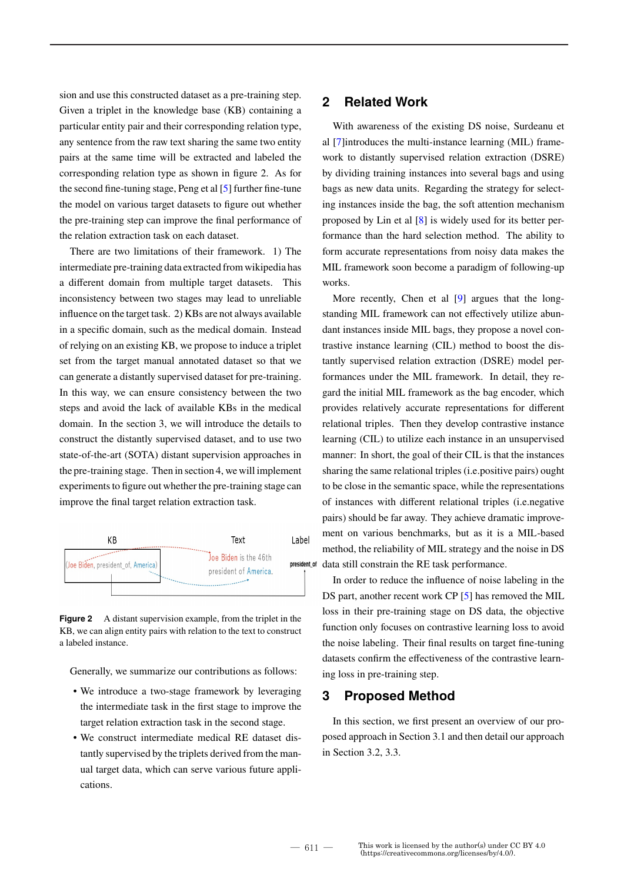sion and use this constructed dataset as a pre-training step. Given a triplet in the knowledge base (KB) containing a particular entity pair and their corresponding relation type, any sentence from the raw text sharing the same two entity pairs at the same time will be extracted and labeled the corresponding relation type as shown in figure 2. As for the second fine-tuning stage, Peng et al [5] further fine-tune the model on various target datasets to figure out whether the pre-training step can improve the final performance of the relation extraction task on each dataset.

There are two limitations of their framework. 1) The intermediate pre-training data extracted from wikipedia has a different domain from multiple target datasets. This inconsistency between two stages may lead to unreliable influence on the target task. 2) KBs are not always available in a specific domain, such as the medical domain. Instead of relying on an existing KB, we propose to induce a triplet set from the target manual annotated dataset so that we can generate a distantly supervised dataset for pre-training. In this way, we can ensure consistency between the two steps and avoid the lack of available KBs in the medical domain. In the section 3, we will introduce the details to construct the distantly supervised dataset, and to use two state-of-the-art (SOTA) distant supervision approaches in the pre-training stage. Then in section 4, we will implement experiments to figure out whether the pre-training stage can improve the final target relation extraction task.



**Figure 2** A distant supervision example, from the triplet in the KB, we can align entity pairs with relation to the text to construct a labeled instance.

Generally, we summarize our contributions as follows:

- We introduce a two-stage framework by leveraging the intermediate task in the first stage to improve the target relation extraction task in the second stage.
- We construct intermediate medical RE dataset distantly supervised by the triplets derived from the manual target data, which can serve various future applications.

## **2 Related Work**

With awareness of the existing DS noise, Surdeanu et al [7]introduces the multi-instance learning (MIL) framework to distantly supervised relation extraction (DSRE) by dividing training instances into several bags and using bags as new data units. Regarding the strategy for selecting instances inside the bag, the soft attention mechanism proposed by Lin et al [8] is widely used for its better performance than the hard selection method. The ability to form accurate representations from noisy data makes the MIL framework soon become a paradigm of following-up works.

More recently, Chen et al [9] argues that the longstanding MIL framework can not effectively utilize abundant instances inside MIL bags, they propose a novel contrastive instance learning (CIL) method to boost the distantly supervised relation extraction (DSRE) model performances under the MIL framework. In detail, they regard the initial MIL framework as the bag encoder, which provides relatively accurate representations for different relational triples. Then they develop contrastive instance learning (CIL) to utilize each instance in an unsupervised manner: In short, the goal of their CIL is that the instances sharing the same relational triples (i.e.positive pairs) ought to be close in the semantic space, while the representations of instances with different relational triples (i.e.negative pairs) should be far away. They achieve dramatic improvement on various benchmarks, but as it is a MIL-based method, the reliability of MIL strategy and the noise in DS data still constrain the RE task performance.

In order to reduce the influence of noise labeling in the DS part, another recent work CP [5] has removed the MIL loss in their pre-training stage on DS data, the objective function only focuses on contrastive learning loss to avoid the noise labeling. Their final results on target fine-tuning datasets confirm the effectiveness of the contrastive learning loss in pre-training step.

### **3 Proposed Method**

In this section, we first present an overview of our proposed approach in Section 3.1 and then detail our approach in Section 3.2, 3.3.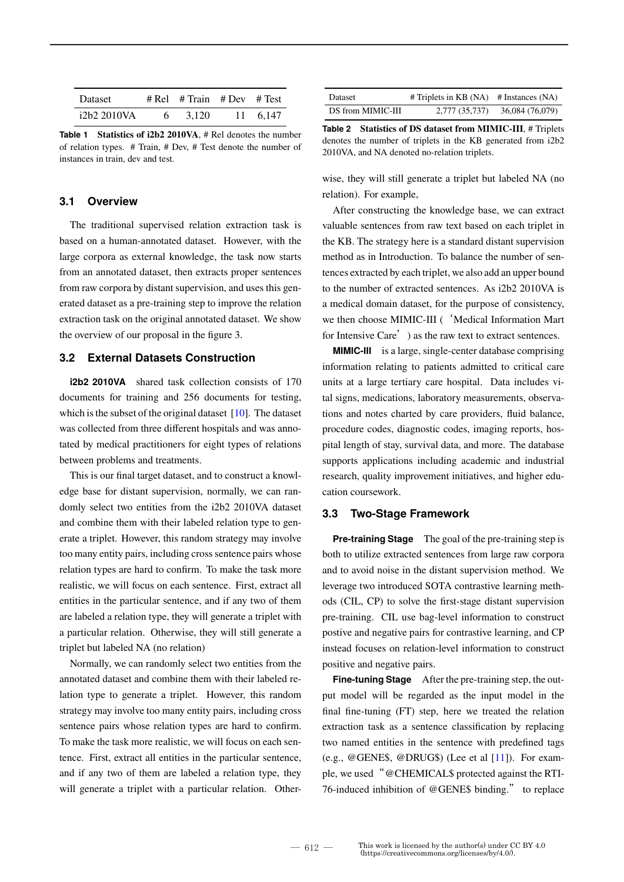| Dataset     | $#$ Rel $#$ Train $#$ Dev $#$ Test |          |
|-------------|------------------------------------|----------|
| i2b2 2010VA | 3.120                              | 11 6.147 |

**Table 1 Statistics of i2b2 2010VA**, # Rel denotes the number of relation types. # Train, # Dev, # Test denote the number of instances in train, dev and test.

### **3.1 Overview**

The traditional supervised relation extraction task is based on a human-annotated dataset. However, with the large corpora as external knowledge, the task now starts from an annotated dataset, then extracts proper sentences from raw corpora by distant supervision, and uses this generated dataset as a pre-training step to improve the relation extraction task on the original annotated dataset. We show the overview of our proposal in the figure 3.

### **3.2 External Datasets Construction**

**i2b2 2010VA** shared task collection consists of 170 documents for training and 256 documents for testing, which is the subset of the original dataset [10]. The dataset was collected from three different hospitals and was annotated by medical practitioners for eight types of relations between problems and treatments.

This is our final target dataset, and to construct a knowledge base for distant supervision, normally, we can randomly select two entities from the i2b2 2010VA dataset and combine them with their labeled relation type to generate a triplet. However, this random strategy may involve too many entity pairs, including cross sentence pairs whose relation types are hard to confirm. To make the task more realistic, we will focus on each sentence. First, extract all entities in the particular sentence, and if any two of them are labeled a relation type, they will generate a triplet with a particular relation. Otherwise, they will still generate a triplet but labeled NA (no relation)

Normally, we can randomly select two entities from the annotated dataset and combine them with their labeled relation type to generate a triplet. However, this random strategy may involve too many entity pairs, including cross sentence pairs whose relation types are hard to confirm. To make the task more realistic, we will focus on each sentence. First, extract all entities in the particular sentence, and if any two of them are labeled a relation type, they will generate a triplet with a particular relation. Other-

| <b>Dataset</b>    | $#$ Triplets in KB (NA) $#$ Instances (NA) |                 |
|-------------------|--------------------------------------------|-----------------|
| DS from MIMIC-III | 2,777 (35,737)                             | 36,084 (76,079) |

**Table 2 Statistics of DS dataset from MIMIC-III**, # Triplets denotes the number of triplets in the KB generated from i2b2 2010VA, and NA denoted no-relation triplets.

wise, they will still generate a triplet but labeled NA (no relation). For example,

After constructing the knowledge base, we can extract valuable sentences from raw text based on each triplet in the KB. The strategy here is a standard distant supervision method as in Introduction. To balance the number of sentences extracted by each triplet, we also add an upper bound to the number of extracted sentences. As i2b2 2010VA is a medical domain dataset, for the purpose of consistency, we then choose MIMIC-III ( 'Medical Information Mart for Intensive Care') as the raw text to extract sentences.

**MIMIC-III** is a large, single-center database comprising information relating to patients admitted to critical care units at a large tertiary care hospital. Data includes vital signs, medications, laboratory measurements, observations and notes charted by care providers, fluid balance, procedure codes, diagnostic codes, imaging reports, hospital length of stay, survival data, and more. The database supports applications including academic and industrial research, quality improvement initiatives, and higher education coursework.

#### **3.3 Two-Stage Framework**

**Pre-training Stage** The goal of the pre-training step is both to utilize extracted sentences from large raw corpora and to avoid noise in the distant supervision method. We leverage two introduced SOTA contrastive learning methods (CIL, CP) to solve the first-stage distant supervision pre-training. CIL use bag-level information to construct postive and negative pairs for contrastive learning, and CP instead focuses on relation-level information to construct positive and negative pairs.

**Fine-tuning Stage** After the pre-training step, the output model will be regarded as the input model in the final fine-tuning (FT) step, here we treated the relation extraction task as a sentence classification by replacing two named entities in the sentence with predefined tags (e.g., @GENE\$, @DRUG\$) (Lee et al  $[11]$ ). For example, we used"@CHEMICAL\$ protected against the RTI-76-induced inhibition of @GENE\$ binding." to replace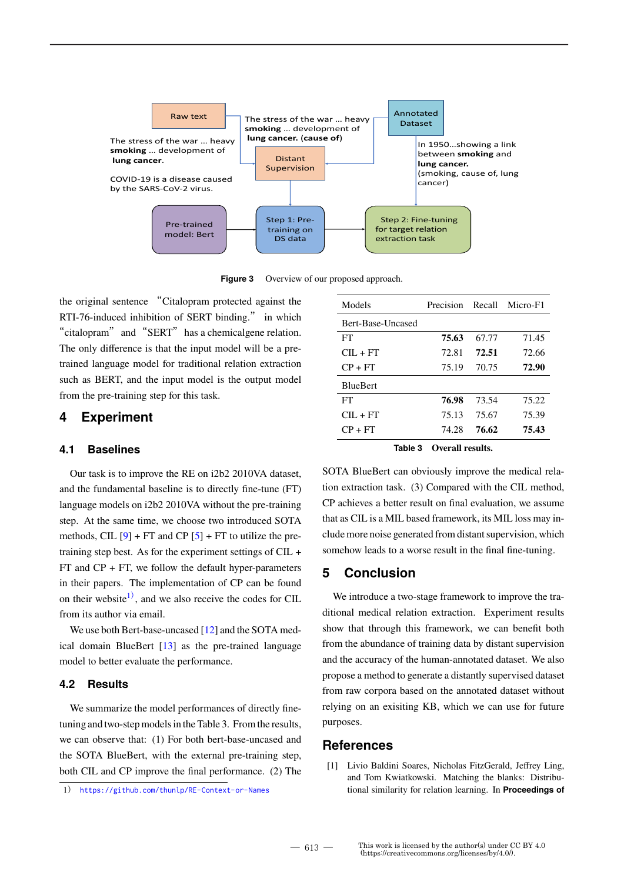

**Figure 3** Overview of our proposed approach.

the original sentence "Citalopram protected against the RTI-76-induced inhibition of SERT binding." in which "citalopram" and "SERT" has a chemicalgene relation. The only difference is that the input model will be a pretrained language model for traditional relation extraction such as BERT, and the input model is the output model from the pre-training step for this task.

## **4 Experiment**

#### **4.1 Baselines**

Our task is to improve the RE on i2b2 2010VA dataset, and the fundamental baseline is to directly fine-tune (FT) language models on i2b2 2010VA without the pre-training step. At the same time, we choose two introduced SOTA methods, CIL  $[9]$  + FT and CP  $[5]$  + FT to utilize the pretraining step best. As for the experiment settings of CIL +  $FT$  and  $CP + FT$ , we follow the default hyper-parameters in their papers. The implementation of CP can be found on their website<sup>1)</sup>, and we also receive the codes for CIL from its author via email.

We use both Bert-base-uncased [12] and the SOTA medical domain BlueBert [13] as the pre-trained language model to better evaluate the performance.

#### **4.2 Results**

We summarize the model performances of directly finetuning and two-step models in the Table 3. From the results, we can observe that: (1) For both bert-base-uncased and the SOTA BlueBert, with the external pre-training step, both CIL and CP improve the final performance. (2) The

1) https://github.com/thunlp/RE-Context-or-Names

| Models                  | <b>Precision</b> |                | Recall Micro-F1 |
|-------------------------|------------------|----------------|-----------------|
| Bert-Base-Uncased       |                  |                |                 |
| FT                      | 75.63            | 67.77          | 71.45           |
| $\text{CH} + \text{FT}$ | 72.81            | 72.51          | 72.66           |
| $CP + FT$               | 75.19            | 70.75          | 72.90           |
| <b>BlueBert</b>         |                  |                |                 |
| FT                      | 76.98            | 73.54          | 75.22           |
| $\text{CH} + \text{FT}$ | 75.13            | 75.67          | 75.39           |
| $CP + FT$               | 74.28            | 76.62          | 75.43           |
|                         |                  | $\blacksquare$ |                 |

**Table 3 Overall results.**

SOTA BlueBert can obviously improve the medical relation extraction task. (3) Compared with the CIL method, CP achieves a better result on final evaluation, we assume that as CIL is a MIL based framework, its MIL loss may include more noise generated from distant supervision, which somehow leads to a worse result in the final fine-tuning.

# **5 Conclusion**

We introduce a two-stage framework to improve the traditional medical relation extraction. Experiment results show that through this framework, we can benefit both from the abundance of training data by distant supervision and the accuracy of the human-annotated dataset. We also propose a method to generate a distantly supervised dataset from raw corpora based on the annotated dataset without relying on an exisiting KB, which we can use for future purposes.

### **References**

[1] Livio Baldini Soares, Nicholas FitzGerald, Jeffrey Ling, and Tom Kwiatkowski. Matching the blanks: Distributional similarity for relation learning. In **Proceedings of**